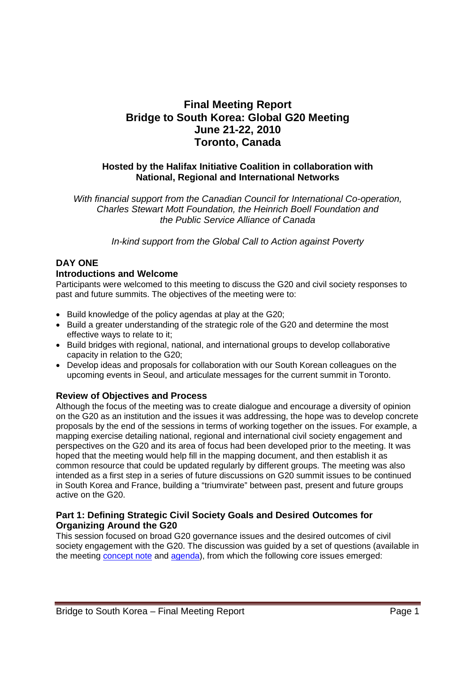# **Final Meeting Report Bridge to South Korea: Global G20 Meeting June 21-22, 2010 Toronto, Canada**

# **Hosted by the Halifax Initiative Coalition in collaboration with National, Regional and International Networks**

*With financial support from the Canadian Council for International Co-operation, Charles Stewart Mott Foundation, the Heinrich Boell Foundation and the Public Service Alliance of Canada*

*In-kind support from the Global Call to Action against Poverty*

# **DAY ONE**

## **Introductions and Welcome**

Participants were welcomed to this meeting to discuss the G20 and civil society responses to past and future summits. The objectives of the meeting were to:

- Build knowledge of the policy agendas at play at the G20;
- Build a greater understanding of the strategic role of the G20 and determine the most effective ways to relate to it;
- Build bridges with regional, national, and international groups to develop collaborative capacity in relation to the G20;
- Develop ideas and proposals for collaboration with our South Korean colleagues on the upcoming events in Seoul, and articulate messages for the current summit in Toronto.

# **Review of Objectives and Process**

Although the focus of the meeting was to create dialogue and encourage a diversity of opinion on the G20 as an institution and the issues it was addressing, the hope was to develop concrete proposals by the end of the sessions in terms of working together on the issues. For example, a mapping exercise detailing national, regional and international civil society engagement and perspectives on the G20 and its area of focus had been developed prior to the meeting. It was hoped that the meeting would help fill in the mapping document, and then establish it as common resource that could be updated regularly by different groups. The meeting was also intended as a first step in a series of future discussions on G20 summit issues to be continued in South Korea and France, building a "triumvirate" between past, present and future groups active on the G20.

# **Part 1: Defining Strategic Civil Society Goals and Desired Outcomes for Organizing Around the G20**

This session focused on broad G20 governance issues and the desired outcomes of civil society engagement with the G20. The discussion was guided by a set of questions (available in the meeting concept note and agenda), from which the following core issues emerged: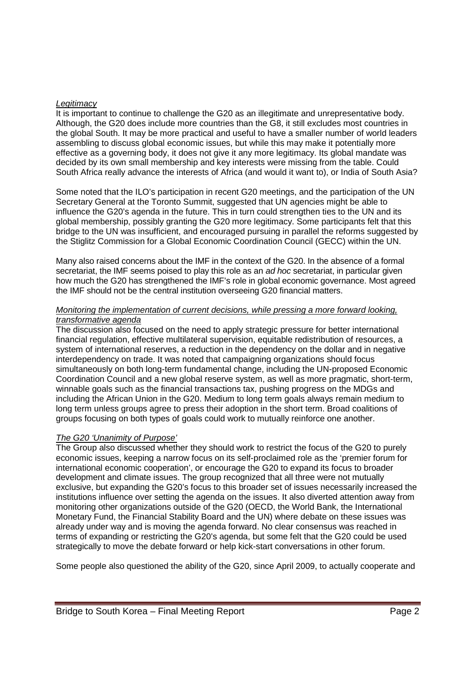### *Legitimacy*

It is important to continue to challenge the G20 as an illegitimate and unrepresentative body. Although, the G20 does include more countries than the G8, it still excludes most countries in the global South. It may be more practical and useful to have a smaller number of world leaders assembling to discuss global economic issues, but while this may make it potentially more effective as a governing body, it does not give it any more legitimacy. Its global mandate was decided by its own small membership and key interests were missing from the table. Could South Africa really advance the interests of Africa (and would it want to), or India of South Asia?

Some noted that the ILO's participation in recent G20 meetings, and the participation of the UN Secretary General at the Toronto Summit, suggested that UN agencies might be able to influence the G20's agenda in the future. This in turn could strengthen ties to the UN and its global membership, possibly granting the G20 more legitimacy. Some participants felt that this bridge to the UN was insufficient, and encouraged pursuing in parallel the reforms suggested by the Stiglitz Commission for a Global Economic Coordination Council (GECC) within the UN.

Many also raised concerns about the IMF in the context of the G20. In the absence of a formal secretariat, the IMF seems poised to play this role as an *ad hoc* secretariat, in particular given how much the G20 has strengthened the IMF's role in global economic governance. Most agreed the IMF should not be the central institution overseeing G20 financial matters.

### *Monitoring the implementation of current decisions, while pressing a more forward looking, transformative agenda*

The discussion also focused on the need to apply strategic pressure for better international financial regulation, effective multilateral supervision, equitable redistribution of resources, a system of international reserves, a reduction in the dependency on the dollar and in negative interdependency on trade. It was noted that campaigning organizations should focus simultaneously on both long-term fundamental change, including the UN-proposed Economic Coordination Council and a new global reserve system, as well as more pragmatic, short-term, winnable goals such as the financial transactions tax, pushing progress on the MDGs and including the African Union in the G20. Medium to long term goals always remain medium to long term unless groups agree to press their adoption in the short term. Broad coalitions of groups focusing on both types of goals could work to mutually reinforce one another.

## *The G20 'Unanimity of Purpose'*

The Group also discussed whether they should work to restrict the focus of the G20 to purely economic issues, keeping a narrow focus on its self-proclaimed role as the 'premier forum for international economic cooperation', or encourage the G20 to expand its focus to broader development and climate issues. The group recognized that all three were not mutually exclusive, but expanding the G20's focus to this broader set of issues necessarily increased the institutions influence over setting the agenda on the issues. It also diverted attention away from monitoring other organizations outside of the G20 (OECD, the World Bank, the International Monetary Fund, the Financial Stability Board and the UN) where debate on these issues was already under way and is moving the agenda forward. No clear consensus was reached in terms of expanding or restricting the G20's agenda, but some felt that the G20 could be used strategically to move the debate forward or help kick-start conversations in other forum.

Some people also questioned the ability of the G20, since April 2009, to actually cooperate and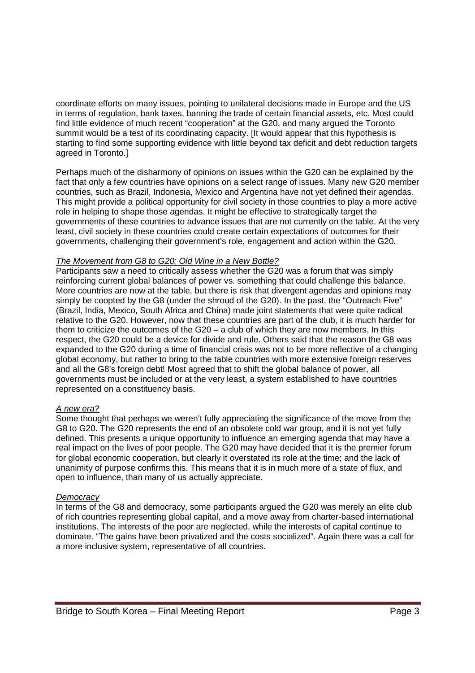coordinate efforts on many issues, pointing to unilateral decisions made in Europe and the US in terms of regulation, bank taxes, banning the trade of certain financial assets, etc. Most could find little evidence of much recent "cooperation" at the G20, and many argued the Toronto summit would be a test of its coordinating capacity. [It would appear that this hypothesis is starting to find some supporting evidence with little beyond tax deficit and debt reduction targets agreed in Toronto.]

Perhaps much of the disharmony of opinions on issues within the G20 can be explained by the fact that only a few countries have opinions on a select range of issues. Many new G20 member countries, such as Brazil, Indonesia, Mexico and Argentina have not yet defined their agendas. This might provide a political opportunity for civil society in those countries to play a more active role in helping to shape those agendas. It might be effective to strategically target the governments of these countries to advance issues that are not currently on the table. At the very least, civil society in these countries could create certain expectations of outcomes for their governments, challenging their government's role, engagement and action within the G20.

#### *The Movement from G8 to G20: Old Wine in a New Bottle?*

Participants saw a need to critically assess whether the G20 was a forum that was simply reinforcing current global balances of power vs. something that could challenge this balance. More countries are now at the table, but there is risk that divergent agendas and opinions may simply be coopted by the G8 (under the shroud of the G20). In the past, the "Outreach Five" (Brazil, India, Mexico, South Africa and China) made joint statements that were quite radical relative to the G20. However, now that these countries are part of the club, it is much harder for them to criticize the outcomes of the G20 – a club of which they are now members. In this respect, the G20 could be a device for divide and rule. Others said that the reason the G8 was expanded to the G20 during a time of financial crisis was not to be more reflective of a changing global economy, but rather to bring to the table countries with more extensive foreign reserves and all the G8's foreign debt! Most agreed that to shift the global balance of power, all governments must be included or at the very least, a system established to have countries represented on a constituency basis.

#### *A new era?*

Some thought that perhaps we weren't fully appreciating the significance of the move from the G8 to G20. The G20 represents the end of an obsolete cold war group, and it is not yet fully defined. This presents a unique opportunity to influence an emerging agenda that may have a real impact on the lives of poor people. The G20 may have decided that it is the premier forum for global economic cooperation, but clearly it overstated its role at the time; and the lack of unanimity of purpose confirms this. This means that it is in much more of a state of flux, and open to influence, than many of us actually appreciate.

#### *Democracy*

In terms of the G8 and democracy, some participants argued the G20 was merely an elite club of rich countries representing global capital, and a move away from charter-based international institutions. The interests of the poor are neglected, while the interests of capital continue to dominate. "The gains have been privatized and the costs socialized". Again there was a call for a more inclusive system, representative of all countries.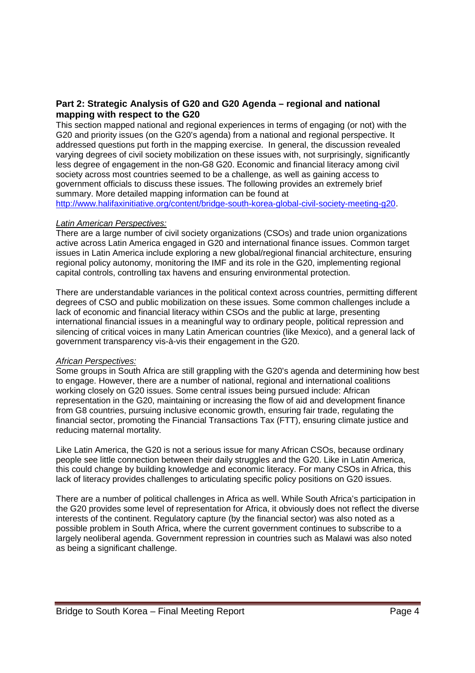# **Part 2: Strategic Analysis of G20 and G20 Agenda – regional and national mapping with respect to the G20**

This section mapped national and regional experiences in terms of engaging (or not) with the G20 and priority issues (on the G20's agenda) from a national and regional perspective. It addressed questions put forth in the mapping exercise. In general, the discussion revealed varying degrees of civil society mobilization on these issues with, not surprisingly, significantly less degree of engagement in the non-G8 G20. Economic and financial literacy among civil society across most countries seemed to be a challenge, as well as gaining access to government officials to discuss these issues. The following provides an extremely brief summary. More detailed mapping information can be found at

http://www.halifaxinitiative.org/content/bridge-south-korea-global-civil-society-meeting-g20.

### *Latin American Perspectives:*

There are a large number of civil society organizations (CSOs) and trade union organizations active across Latin America engaged in G20 and international finance issues. Common target issues in Latin America include exploring a new global/regional financial architecture, ensuring regional policy autonomy, monitoring the IMF and its role in the G20, implementing regional capital controls, controlling tax havens and ensuring environmental protection.

There are understandable variances in the political context across countries, permitting different degrees of CSO and public mobilization on these issues. Some common challenges include a lack of economic and financial literacy within CSOs and the public at large, presenting international financial issues in a meaningful way to ordinary people, political repression and silencing of critical voices in many Latin American countries (like Mexico), and a general lack of government transparency vis-à-vis their engagement in the G20.

## *African Perspectives:*

Some groups in South Africa are still grappling with the G20's agenda and determining how best to engage. However, there are a number of national, regional and international coalitions working closely on G20 issues. Some central issues being pursued include: African representation in the G20, maintaining or increasing the flow of aid and development finance from G8 countries, pursuing inclusive economic growth, ensuring fair trade, regulating the financial sector, promoting the Financial Transactions Tax (FTT), ensuring climate justice and reducing maternal mortality.

Like Latin America, the G20 is not a serious issue for many African CSOs, because ordinary people see little connection between their daily struggles and the G20. Like in Latin America, this could change by building knowledge and economic literacy. For many CSOs in Africa, this lack of literacy provides challenges to articulating specific policy positions on G20 issues.

There are a number of political challenges in Africa as well. While South Africa's participation in the G20 provides some level of representation for Africa, it obviously does not reflect the diverse interests of the continent. Regulatory capture (by the financial sector) was also noted as a possible problem in South Africa, where the current government continues to subscribe to a largely neoliberal agenda. Government repression in countries such as Malawi was also noted as being a significant challenge.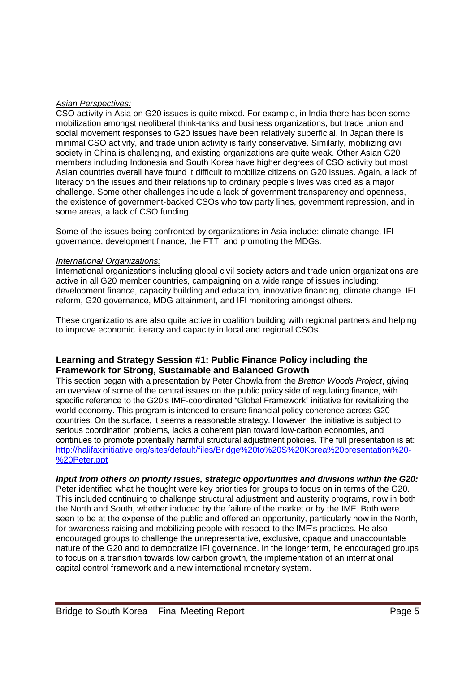## *Asian Perspectives:*

CSO activity in Asia on G20 issues is quite mixed. For example, in India there has been some mobilization amongst neoliberal think-tanks and business organizations, but trade union and social movement responses to G20 issues have been relatively superficial. In Japan there is minimal CSO activity, and trade union activity is fairly conservative. Similarly, mobilizing civil society in China is challenging, and existing organizations are quite weak. Other Asian G20 members including Indonesia and South Korea have higher degrees of CSO activity but most Asian countries overall have found it difficult to mobilize citizens on G20 issues. Again, a lack of literacy on the issues and their relationship to ordinary people's lives was cited as a major challenge. Some other challenges include a lack of government transparency and openness, the existence of government-backed CSOs who tow party lines, government repression, and in some areas, a lack of CSO funding.

Some of the issues being confronted by organizations in Asia include: climate change, IFI governance, development finance, the FTT, and promoting the MDGs.

### *International Organizations:*

International organizations including global civil society actors and trade union organizations are active in all G20 member countries, campaigning on a wide range of issues including: development finance, capacity building and education, innovative financing, climate change, IFI reform, G20 governance, MDG attainment, and IFI monitoring amongst others.

These organizations are also quite active in coalition building with regional partners and helping to improve economic literacy and capacity in local and regional CSOs.

# **Learning and Strategy Session #1: Public Finance Policy including the Framework for Strong, Sustainable and Balanced Growth**

This section began with a presentation by Peter Chowla from the *Bretton Woods Project*, giving an overview of some of the central issues on the public policy side of regulating finance, with specific reference to the G20's IMF-coordinated "Global Framework" initiative for revitalizing the world economy. This program is intended to ensure financial policy coherence across G20 countries. On the surface, it seems a reasonable strategy. However, the initiative is subject to serious coordination problems, lacks a coherent plan toward low-carbon economies, and continues to promote potentially harmful structural adjustment policies. The full presentation is at: http://halifaxinitiative.org/sites/default/files/Bridge%20to%20S%20Korea%20presentation%20- %20Peter.ppt

#### *Input from others on priority issues, strategic opportunities and divisions within the G20:*

Peter identified what he thought were key priorities for groups to focus on in terms of the G20. This included continuing to challenge structural adjustment and austerity programs, now in both the North and South, whether induced by the failure of the market or by the IMF. Both were seen to be at the expense of the public and offered an opportunity, particularly now in the North, for awareness raising and mobilizing people with respect to the IMF's practices. He also encouraged groups to challenge the unrepresentative, exclusive, opaque and unaccountable nature of the G20 and to democratize IFI governance. In the longer term, he encouraged groups to focus on a transition towards low carbon growth, the implementation of an international capital control framework and a new international monetary system.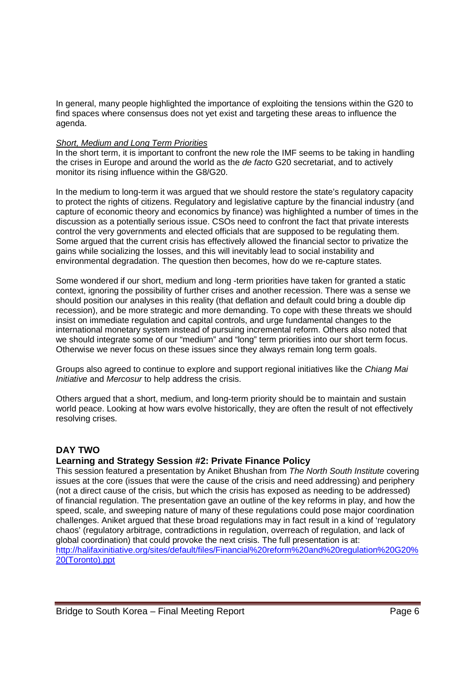In general, many people highlighted the importance of exploiting the tensions within the G20 to find spaces where consensus does not yet exist and targeting these areas to influence the agenda.

### *Short, Medium and Long Term Priorities*

In the short term, it is important to confront the new role the IMF seems to be taking in handling the crises in Europe and around the world as the *de facto* G20 secretariat, and to actively monitor its rising influence within the G8/G20.

In the medium to long-term it was argued that we should restore the state's regulatory capacity to protect the rights of citizens. Regulatory and legislative capture by the financial industry (and capture of economic theory and economics by finance) was highlighted a number of times in the discussion as a potentially serious issue. CSOs need to confront the fact that private interests control the very governments and elected officials that are supposed to be regulating them. Some argued that the current crisis has effectively allowed the financial sector to privatize the gains while socializing the losses, and this will inevitably lead to social instability and environmental degradation. The question then becomes, how do we re-capture states.

Some wondered if our short, medium and long -term priorities have taken for granted a static context, ignoring the possibility of further crises and another recession. There was a sense we should position our analyses in this reality (that deflation and default could bring a double dip recession), and be more strategic and more demanding. To cope with these threats we should insist on immediate regulation and capital controls, and urge fundamental changes to the international monetary system instead of pursuing incremental reform. Others also noted that we should integrate some of our "medium" and "long" term priorities into our short term focus. Otherwise we never focus on these issues since they always remain long term goals.

Groups also agreed to continue to explore and support regional initiatives like the *Chiang Mai Initiative* and *Mercosur* to help address the crisis.

Others argued that a short, medium, and long-term priority should be to maintain and sustain world peace. Looking at how wars evolve historically, they are often the result of not effectively resolving crises.

# **DAY TWO**

## **Learning and Strategy Session #2: Private Finance Policy**

This session featured a presentation by Aniket Bhushan from *The North South Institute* covering issues at the core (issues that were the cause of the crisis and need addressing) and periphery (not a direct cause of the crisis, but which the crisis has exposed as needing to be addressed) of financial regulation. The presentation gave an outline of the key reforms in play, and how the speed, scale, and sweeping nature of many of these regulations could pose major coordination challenges. Aniket argued that these broad regulations may in fact result in a kind of 'regulatory chaos' (regulatory arbitrage, contradictions in regulation, overreach of regulation, and lack of global coordination) that could provoke the next crisis. The full presentation is at: http://halifaxinitiative.org/sites/default/files/Financial%20reform%20and%20regulation%20G20% 20(Toronto).ppt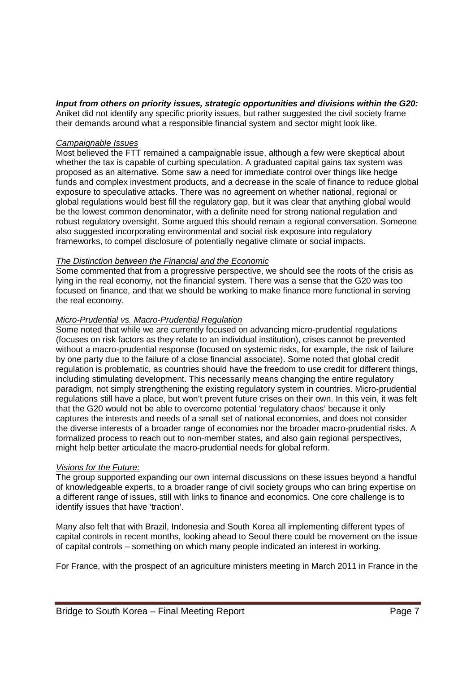# *Input from others on priority issues, strategic opportunities and divisions within the G20:*

Aniket did not identify any specific priority issues, but rather suggested the civil society frame their demands around what a responsible financial system and sector might look like.

### *Campaignable Issues*

Most believed the FTT remained a campaignable issue, although a few were skeptical about whether the tax is capable of curbing speculation. A graduated capital gains tax system was proposed as an alternative. Some saw a need for immediate control over things like hedge funds and complex investment products, and a decrease in the scale of finance to reduce global exposure to speculative attacks. There was no agreement on whether national, regional or global regulations would best fill the regulatory gap, but it was clear that anything global would be the lowest common denominator, with a definite need for strong national regulation and robust regulatory oversight. Some argued this should remain a regional conversation. Someone also suggested incorporating environmental and social risk exposure into regulatory frameworks, to compel disclosure of potentially negative climate or social impacts.

### *The Distinction between the Financial and the Economic*

Some commented that from a progressive perspective, we should see the roots of the crisis as lying in the real economy, not the financial system. There was a sense that the G20 was too focused on finance, and that we should be working to make finance more functional in serving the real economy.

## *Micro-Prudential vs. Macro-Prudential Regulation*

Some noted that while we are currently focused on advancing micro-prudential regulations (focuses on risk factors as they relate to an individual institution), crises cannot be prevented without a macro-prudential response (focused on systemic risks, for example, the risk of failure by one party due to the failure of a close financial associate). Some noted that global credit regulation is problematic, as countries should have the freedom to use credit for different things, including stimulating development. This necessarily means changing the entire regulatory paradigm, not simply strengthening the existing regulatory system in countries. Micro-prudential regulations still have a place, but won't prevent future crises on their own. In this vein, it was felt that the G20 would not be able to overcome potential 'regulatory chaos' because it only captures the interests and needs of a small set of national economies, and does not consider the diverse interests of a broader range of economies nor the broader macro-prudential risks. A formalized process to reach out to non-member states, and also gain regional perspectives, might help better articulate the macro-prudential needs for global reform.

#### *Visions for the Future:*

The group supported expanding our own internal discussions on these issues beyond a handful of knowledgeable experts, to a broader range of civil society groups who can bring expertise on a different range of issues, still with links to finance and economics. One core challenge is to identify issues that have 'traction'.

Many also felt that with Brazil, Indonesia and South Korea all implementing different types of capital controls in recent months, looking ahead to Seoul there could be movement on the issue of capital controls – something on which many people indicated an interest in working.

For France, with the prospect of an agriculture ministers meeting in March 2011 in France in the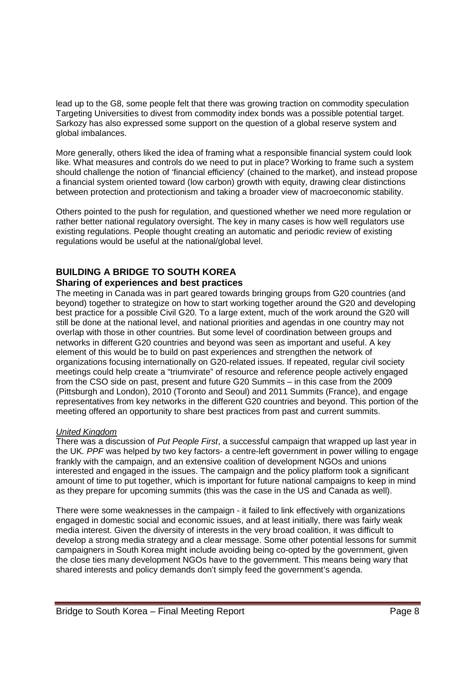lead up to the G8, some people felt that there was growing traction on commodity speculation Targeting Universities to divest from commodity index bonds was a possible potential target. Sarkozy has also expressed some support on the question of a global reserve system and global imbalances.

More generally, others liked the idea of framing what a responsible financial system could look like. What measures and controls do we need to put in place? Working to frame such a system should challenge the notion of 'financial efficiency' (chained to the market), and instead propose a financial system oriented toward (low carbon) growth with equity, drawing clear distinctions between protection and protectionism and taking a broader view of macroeconomic stability.

Others pointed to the push for regulation, and questioned whether we need more regulation or rather better national regulatory oversight. The key in many cases is how well regulators use existing regulations. People thought creating an automatic and periodic review of existing regulations would be useful at the national/global level.

# **BUILDING A BRIDGE TO SOUTH KOREA**

# **Sharing of experiences and best practices**

The meeting in Canada was in part geared towards bringing groups from G20 countries (and beyond) together to strategize on how to start working together around the G20 and developing best practice for a possible Civil G20. To a large extent, much of the work around the G20 will still be done at the national level, and national priorities and agendas in one country may not overlap with those in other countries. But some level of coordination between groups and networks in different G20 countries and beyond was seen as important and useful. A key element of this would be to build on past experiences and strengthen the network of organizations focusing internationally on G20-related issues. If repeated, regular civil society meetings could help create a "triumvirate" of resource and reference people actively engaged from the CSO side on past, present and future G20 Summits – in this case from the 2009 (Pittsburgh and London), 2010 (Toronto and Seoul) and 2011 Summits (France), and engage representatives from key networks in the different G20 countries and beyond. This portion of the meeting offered an opportunity to share best practices from past and current summits.

## *United Kingdom*

There was a discussion of *Put People First*, a successful campaign that wrapped up last year in the UK*. PPF* was helped by two key factors- a centre-left government in power willing to engage frankly with the campaign, and an extensive coalition of development NGOs and unions interested and engaged in the issues. The campaign and the policy platform took a significant amount of time to put together, which is important for future national campaigns to keep in mind as they prepare for upcoming summits (this was the case in the US and Canada as well).

There were some weaknesses in the campaign - it failed to link effectively with organizations engaged in domestic social and economic issues, and at least initially, there was fairly weak media interest. Given the diversity of interests in the very broad coalition, it was difficult to develop a strong media strategy and a clear message. Some other potential lessons for summit campaigners in South Korea might include avoiding being co-opted by the government, given the close ties many development NGOs have to the government. This means being wary that shared interests and policy demands don't simply feed the government's agenda.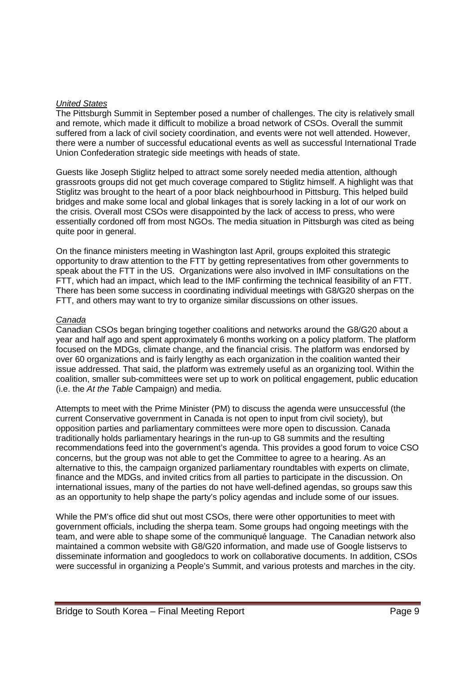### *United States*

The Pittsburgh Summit in September posed a number of challenges. The city is relatively small and remote, which made it difficult to mobilize a broad network of CSOs. Overall the summit suffered from a lack of civil society coordination, and events were not well attended. However, there were a number of successful educational events as well as successful International Trade Union Confederation strategic side meetings with heads of state.

Guests like Joseph Stiglitz helped to attract some sorely needed media attention, although grassroots groups did not get much coverage compared to Stiglitz himself. A highlight was that Stiglitz was brought to the heart of a poor black neighbourhood in Pittsburg. This helped build bridges and make some local and global linkages that is sorely lacking in a lot of our work on the crisis. Overall most CSOs were disappointed by the lack of access to press, who were essentially cordoned off from most NGOs. The media situation in Pittsburgh was cited as being quite poor in general.

On the finance ministers meeting in Washington last April, groups exploited this strategic opportunity to draw attention to the FTT by getting representatives from other governments to speak about the FTT in the US. Organizations were also involved in IMF consultations on the FTT, which had an impact, which lead to the IMF confirming the technical feasibility of an FTT. There has been some success in coordinating individual meetings with G8/G20 sherpas on the FTT, and others may want to try to organize similar discussions on other issues.

### *Canada*

Canadian CSOs began bringing together coalitions and networks around the G8/G20 about a year and half ago and spent approximately 6 months working on a policy platform. The platform focused on the MDGs, climate change, and the financial crisis. The platform was endorsed by over 60 organizations and is fairly lengthy as each organization in the coalition wanted their issue addressed. That said, the platform was extremely useful as an organizing tool. Within the coalition, smaller sub-committees were set up to work on political engagement, public education (i.e. the *At the Table* Campaign) and media.

Attempts to meet with the Prime Minister (PM) to discuss the agenda were unsuccessful (the current Conservative government in Canada is not open to input from civil society), but opposition parties and parliamentary committees were more open to discussion. Canada traditionally holds parliamentary hearings in the run-up to G8 summits and the resulting recommendations feed into the government's agenda. This provides a good forum to voice CSO concerns, but the group was not able to get the Committee to agree to a hearing. As an alternative to this, the campaign organized parliamentary roundtables with experts on climate, finance and the MDGs, and invited critics from all parties to participate in the discussion. On international issues, many of the parties do not have well-defined agendas, so groups saw this as an opportunity to help shape the party's policy agendas and include some of our issues.

While the PM's office did shut out most CSOs, there were other opportunities to meet with government officials, including the sherpa team. Some groups had ongoing meetings with the team, and were able to shape some of the communiqué language. The Canadian network also maintained a common website with G8/G20 information, and made use of Google listservs to disseminate information and googledocs to work on collaborative documents. In addition, CSOs were successful in organizing a People's Summit, and various protests and marches in the city.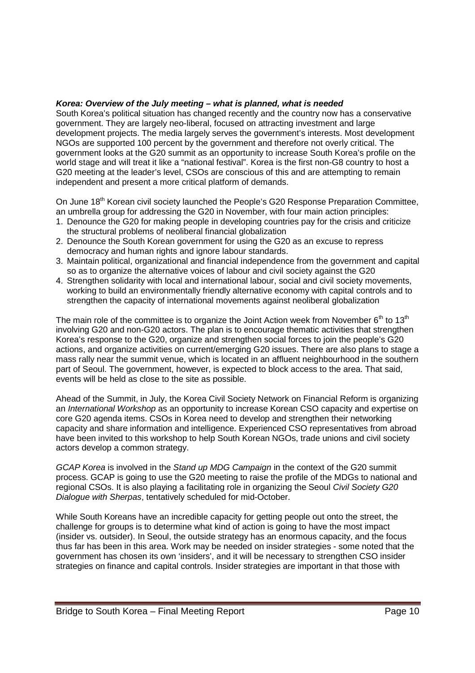### *Korea: Overview of the July meeting – what is planned, what is needed*

South Korea's political situation has changed recently and the country now has a conservative government. They are largely neo-liberal, focused on attracting investment and large development projects. The media largely serves the government's interests. Most development NGOs are supported 100 percent by the government and therefore not overly critical. The government looks at the G20 summit as an opportunity to increase South Korea's profile on the world stage and will treat it like a "national festival". Korea is the first non-G8 country to host a G20 meeting at the leader's level, CSOs are conscious of this and are attempting to remain independent and present a more critical platform of demands.

On June 18<sup>th</sup> Korean civil society launched the People's G20 Response Preparation Committee, an umbrella group for addressing the G20 in November, with four main action principles:

- 1. Denounce the G20 for making people in developing countries pay for the crisis and criticize the structural problems of neoliberal financial globalization
- 2. Denounce the South Korean government for using the G20 as an excuse to repress democracy and human rights and ignore labour standards.
- 3. Maintain political, organizational and financial independence from the government and capital so as to organize the alternative voices of labour and civil society against the G20
- 4. Strengthen solidarity with local and international labour, social and civil society movements, working to build an environmentally friendly alternative economy with capital controls and to strengthen the capacity of international movements against neoliberal globalization

The main role of the committee is to organize the Joint Action week from November  $6<sup>th</sup>$  to 13<sup>th</sup> involving G20 and non-G20 actors. The plan is to encourage thematic activities that strengthen Korea's response to the G20, organize and strengthen social forces to join the people's G20 actions, and organize activities on current/emerging G20 issues. There are also plans to stage a mass rally near the summit venue, which is located in an affluent neighbourhood in the southern part of Seoul. The government, however, is expected to block access to the area. That said, events will be held as close to the site as possible.

Ahead of the Summit, in July, the Korea Civil Society Network on Financial Reform is organizing an *International Workshop* as an opportunity to increase Korean CSO capacity and expertise on core G20 agenda items. CSOs in Korea need to develop and strengthen their networking capacity and share information and intelligence. Experienced CSO representatives from abroad have been invited to this workshop to help South Korean NGOs, trade unions and civil society actors develop a common strategy.

*GCAP Korea* is involved in the *Stand up MDG Campaign* in the context of the G20 summit process. GCAP is going to use the G20 meeting to raise the profile of the MDGs to national and regional CSOs. It is also playing a facilitating role in organizing the Seoul *Civil Society G20 Dialogue with Sherpas*, tentatively scheduled for mid-October.

While South Koreans have an incredible capacity for getting people out onto the street, the challenge for groups is to determine what kind of action is going to have the most impact (insider vs. outsider). In Seoul, the outside strategy has an enormous capacity, and the focus thus far has been in this area. Work may be needed on insider strategies - some noted that the government has chosen its own 'insiders', and it will be necessary to strengthen CSO insider strategies on finance and capital controls. Insider strategies are important in that those with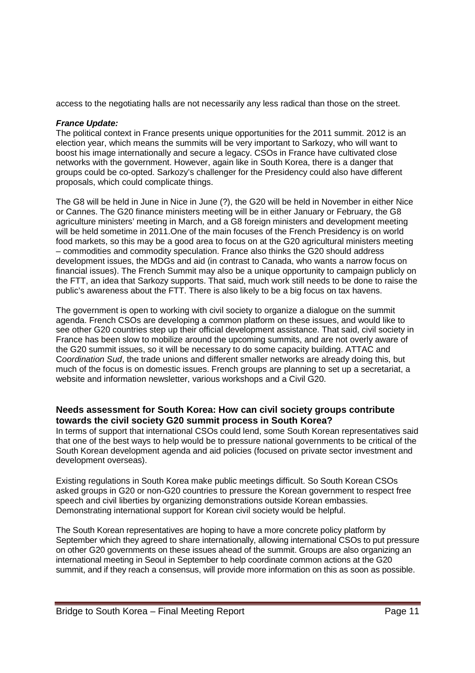access to the negotiating halls are not necessarily any less radical than those on the street.

### *France Update:*

The political context in France presents unique opportunities for the 2011 summit. 2012 is an election year, which means the summits will be very important to Sarkozy, who will want to boost his image internationally and secure a legacy. CSOs in France have cultivated close networks with the government. However, again like in South Korea, there is a danger that groups could be co-opted. Sarkozy's challenger for the Presidency could also have different proposals, which could complicate things.

The G8 will be held in June in Nice in June (?), the G20 will be held in November in either Nice or Cannes. The G20 finance ministers meeting will be in either January or February, the G8 agriculture ministers' meeting in March, and a G8 foreign ministers and development meeting will be held sometime in 2011. One of the main focuses of the French Presidency is on world food markets, so this may be a good area to focus on at the G20 agricultural ministers meeting – commodities and commodity speculation. France also thinks the G20 should address development issues, the MDGs and aid (in contrast to Canada, who wants a narrow focus on financial issues). The French Summit may also be a unique opportunity to campaign publicly on the FTT, an idea that Sarkozy supports. That said, much work still needs to be done to raise the public's awareness about the FTT. There is also likely to be a big focus on tax havens.

The government is open to working with civil society to organize a dialogue on the summit agenda. French CSOs are developing a common platform on these issues, and would like to see other G20 countries step up their official development assistance. That said, civil society in France has been slow to mobilize around the upcoming summits, and are not overly aware of the G20 summit issues, so it will be necessary to do some capacity building. ATTAC and C*oordination Sud*, the trade unions and different smaller networks are already doing this, but much of the focus is on domestic issues. French groups are planning to set up a secretariat, a website and information newsletter, various workshops and a Civil G20.

# **Needs assessment for South Korea: How can civil society groups contribute towards the civil society G20 summit process in South Korea?**

In terms of support that international CSOs could lend, some South Korean representatives said that one of the best ways to help would be to pressure national governments to be critical of the South Korean development agenda and aid policies (focused on private sector investment and development overseas).

Existing regulations in South Korea make public meetings difficult. So South Korean CSOs asked groups in G20 or non-G20 countries to pressure the Korean government to respect free speech and civil liberties by organizing demonstrations outside Korean embassies. Demonstrating international support for Korean civil society would be helpful.

The South Korean representatives are hoping to have a more concrete policy platform by September which they agreed to share internationally, allowing international CSOs to put pressure on other G20 governments on these issues ahead of the summit. Groups are also organizing an international meeting in Seoul in September to help coordinate common actions at the G20 summit, and if they reach a consensus, will provide more information on this as soon as possible.